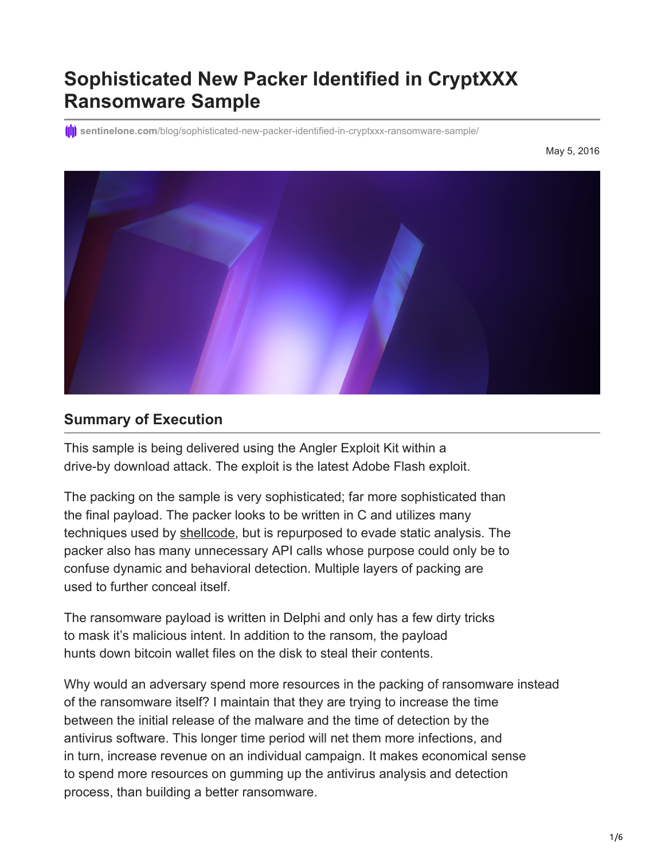# **Sophisticated New Packer Identified in CryptXXX Ransomware Sample**

**(iii)** sentinelone.com[/blog/sophisticated-new-packer-identified-in-cryptxxx-ransomware-sample/](https://www.sentinelone.com/blog/sophisticated-new-packer-identified-in-cryptxxx-ransomware-sample/)

May 5, 2016



#### **Summary of Execution**

This sample is being delivered using the Angler Exploit Kit within a drive-by download attack. The exploit is the latest Adobe Flash exploit.

The packing on the sample is very sophisticated; far more sophisticated than the final payload. The packer looks to be written in C and utilizes many techniques used by [shellcode,](https://www.sentinelone.com/blog/malicious-input-how-hackers-use-shellcode/) but is repurposed to evade static analysis. The packer also has many unnecessary API calls whose purpose could only be to confuse dynamic and behavioral detection. Multiple layers of packing are used to further conceal itself.

The ransomware payload is written in Delphi and only has a few dirty tricks to mask it's malicious intent. In addition to the ransom, the payload hunts down bitcoin wallet files on the disk to steal their contents.

Why would an adversary spend more resources in the packing of ransomware instead of the ransomware itself? I maintain that they are trying to increase the time between the initial release of the malware and the time of detection by the antivirus software. This longer time period will net them more infections, and in turn, increase revenue on an individual campaign. It makes economical sense to spend more resources on gumming up the antivirus analysis and detection process, than building a better ransomware.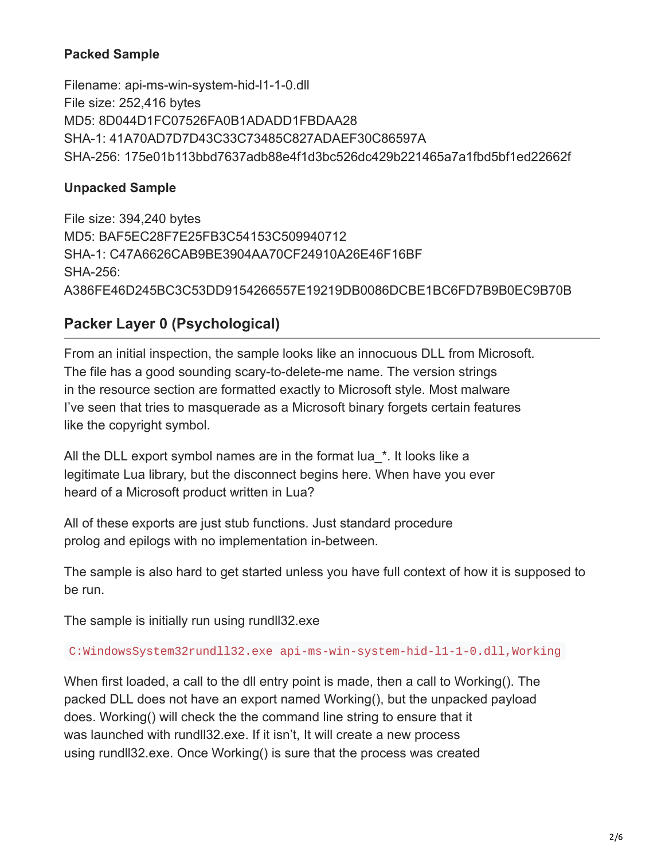### **Packed Sample**

Filename: api-ms-win-system-hid-l1-1-0.dll File size: 252,416 bytes MD5: 8D044D1FC07526FA0B1ADADD1FBDAA28 SHA-1: 41A70AD7D7D43C33C73485C827ADAEF30C86597A SHA-256: 175e01b113bbd7637adb88e4f1d3bc526dc429b221465a7a1fbd5bf1ed22662f

#### **Unpacked Sample**

File size: 394,240 bytes MD5: BAF5EC28F7E25FB3C54153C509940712 SHA-1: C47A6626CAB9BE3904AA70CF24910A26E46F16BF SHA-256: A386FE46D245BC3C53DD9154266557E19219DB0086DCBE1BC6FD7B9B0EC9B70B

## **Packer Layer 0 (Psychological)**

From an initial inspection, the sample looks like an innocuous DLL from Microsoft. The file has a good sounding scary-to-delete-me name. The version strings in the resource section are formatted exactly to Microsoft style. Most malware I've seen that tries to masquerade as a Microsoft binary forgets certain features like the copyright symbol.

All the DLL export symbol names are in the format lua \*. It looks like a legitimate Lua library, but the disconnect begins here. When have you ever heard of a Microsoft product written in Lua?

All of these exports are just stub functions. Just standard procedure prolog and epilogs with no implementation in-between.

The sample is also hard to get started unless you have full context of how it is supposed to be run.

The sample is initially run using rundll32.exe

C:WindowsSystem32rundll32.exe api-ms-win-system-hid-l1-1-0.dll,Working

When first loaded, a call to the dll entry point is made, then a call to Working(). The packed DLL does not have an export named Working(), but the unpacked payload does. Working() will check the the command line string to ensure that it was launched with rundll32.exe. If it isn't, It will create a new process using rundll32.exe. Once Working() is sure that the process was created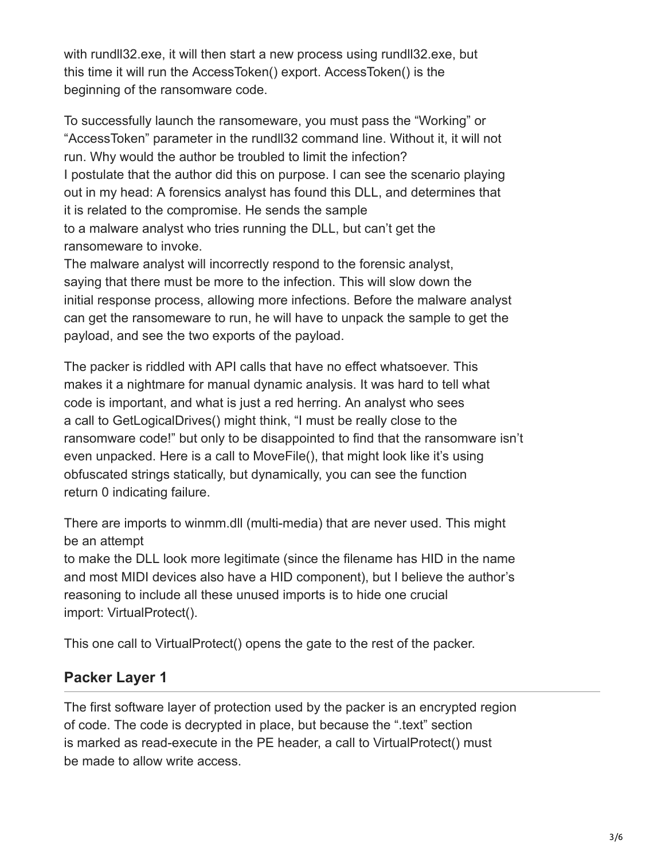with rundll32.exe, it will then start a new process using rundll32.exe, but this time it will run the AccessToken() export. AccessToken() is the beginning of the ransomware code.

To successfully launch the ransomeware, you must pass the "Working" or "AccessToken" parameter in the rundll32 command line. Without it, it will not run. Why would the author be troubled to limit the infection? I postulate that the author did this on purpose. I can see the scenario playing out in my head: A forensics analyst has found this DLL, and determines that it is related to the compromise. He sends the sample to a malware analyst who tries running the DLL, but can't get the ransomeware to invoke.

The malware analyst will incorrectly respond to the forensic analyst, saying that there must be more to the infection. This will slow down the initial response process, allowing more infections. Before the malware analyst can get the ransomeware to run, he will have to unpack the sample to get the payload, and see the two exports of the payload.

The packer is riddled with API calls that have no effect whatsoever. This makes it a nightmare for manual dynamic analysis. It was hard to tell what code is important, and what is just a red herring. An analyst who sees a call to GetLogicalDrives() might think, "I must be really close to the ransomware code!" but only to be disappointed to find that the ransomware isn't even unpacked. Here is a call to MoveFile(), that might look like it's using obfuscated strings statically, but dynamically, you can see the function return 0 indicating failure.

There are imports to winmm.dll (multi-media) that are never used. This might be an attempt

to make the DLL look more legitimate (since the filename has HID in the name and most MIDI devices also have a HID component), but I believe the author's reasoning to include all these unused imports is to hide one crucial import: VirtualProtect().

This one call to VirtualProtect() opens the gate to the rest of the packer.

## **Packer Layer 1**

The first software layer of protection used by the packer is an encrypted region of code. The code is decrypted in place, but because the ".text" section is marked as read-execute in the PE header, a call to VirtualProtect() must be made to allow write access.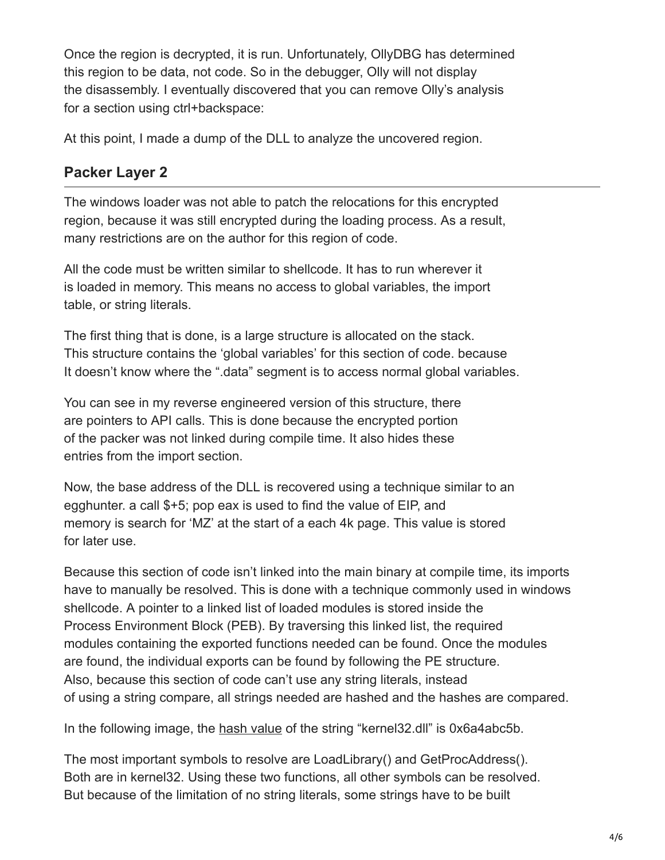Once the region is decrypted, it is run. Unfortunately, OllyDBG has determined this region to be data, not code. So in the debugger, Olly will not display the disassembly. I eventually discovered that you can remove Olly's analysis for a section using ctrl+backspace:

At this point, I made a dump of the DLL to analyze the uncovered region.

## **Packer Layer 2**

The windows loader was not able to patch the relocations for this encrypted region, because it was still encrypted during the loading process. As a result, many restrictions are on the author for this region of code.

All the code must be written similar to shellcode. It has to run wherever it is loaded in memory. This means no access to global variables, the import table, or string literals.

The first thing that is done, is a large structure is allocated on the stack. This structure contains the 'global variables' for this section of code. because It doesn't know where the ".data" segment is to access normal global variables.

You can see in my reverse engineered version of this structure, there are pointers to API calls. This is done because the encrypted portion of the packer was not linked during compile time. It also hides these entries from the import section.

Now, the base address of the DLL is recovered using a technique similar to an egghunter. a call \$+5; pop eax is used to find the value of EIP, and memory is search for 'MZ' at the start of a each 4k page. This value is stored for later use.

Because this section of code isn't linked into the main binary at compile time, its imports have to manually be resolved. This is done with a technique commonly used in windows shellcode. A pointer to a linked list of loaded modules is stored inside the Process Environment Block (PEB). By traversing this linked list, the required modules containing the exported functions needed can be found. Once the modules are found, the individual exports can be found by following the PE structure. Also, because this section of code can't use any string literals, instead of using a string compare, all strings needed are hashed and the hashes are compared.

In the following image, the [hash value](https://www.sentinelone.com/blog/what-is-hash-how-does-it-work/) of the string "kernel32.dll" is 0x6a4abc5b.

The most important symbols to resolve are LoadLibrary() and GetProcAddress(). Both are in kernel32. Using these two functions, all other symbols can be resolved. But because of the limitation of no string literals, some strings have to be built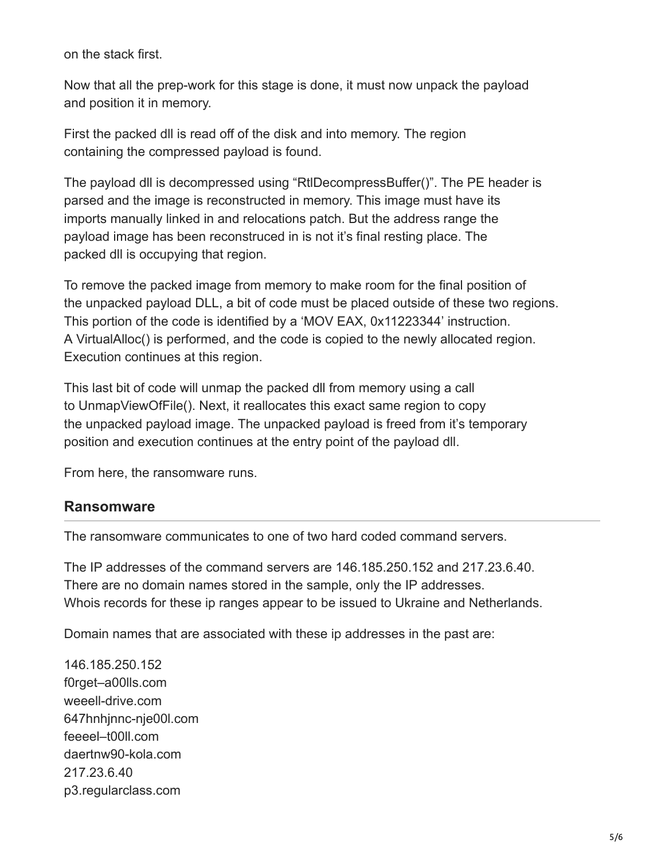on the stack first.

Now that all the prep-work for this stage is done, it must now unpack the payload and position it in memory.

First the packed dll is read off of the disk and into memory. The region containing the compressed payload is found.

The payload dll is decompressed using "RtlDecompressBuffer()". The PE header is parsed and the image is reconstructed in memory. This image must have its imports manually linked in and relocations patch. But the address range the payload image has been reconstruced in is not it's final resting place. The packed dll is occupying that region.

To remove the packed image from memory to make room for the final position of the unpacked payload DLL, a bit of code must be placed outside of these two regions. This portion of the code is identified by a 'MOV EAX, 0x11223344' instruction. A VirtualAlloc() is performed, and the code is copied to the newly allocated region. Execution continues at this region.

This last bit of code will unmap the packed dll from memory using a call to UnmapViewOfFile(). Next, it reallocates this exact same region to copy the unpacked payload image. The unpacked payload is freed from it's temporary position and execution continues at the entry point of the payload dll.

From here, the ransomware runs.

#### **Ransomware**

The ransomware communicates to one of two hard coded command servers.

The IP addresses of the command servers are 146.185.250.152 and 217.23.6.40. There are no domain names stored in the sample, only the IP addresses. Whois records for these ip ranges appear to be issued to Ukraine and Netherlands.

Domain names that are associated with these ip addresses in the past are:

146.185.250.152 f0rget–a00lls.com weeell-drive.com 647hnhjnnc-nje00l.com feeeel–t00ll.com daertnw90-kola.com 217.23.6.40 p3.regularclass.com